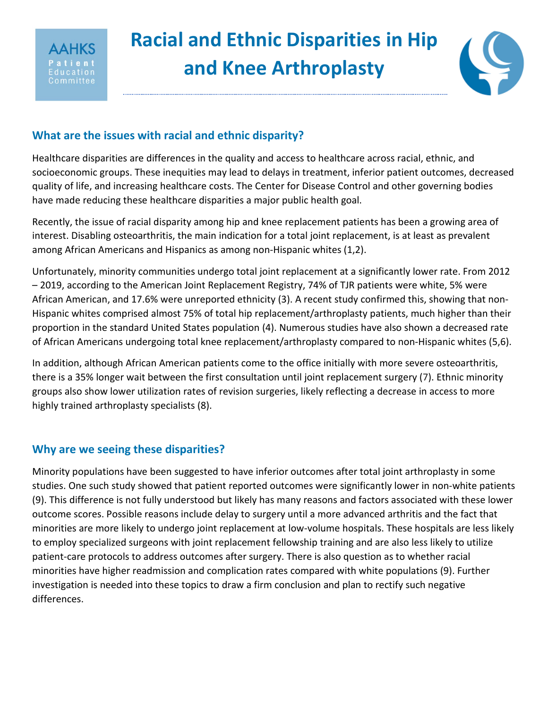

# **Racial and Ethnic Disparities in Hip and Knee Arthroplasty**



# **What are the issues with racial and ethnic disparity?**

Healthcare disparities are differences in the quality and access to healthcare across racial, ethnic, and socioeconomic groups. These inequities may lead to delays in treatment, inferior patient outcomes, decreased quality of life, and increasing healthcare costs. The Center for Disease Control and other governing bodies have made reducing these healthcare disparities a major public health goal.

Recently, the issue of racial disparity among hip and knee replacement patients has been a growing area of interest. Disabling osteoarthritis, the main indication for a total joint replacement, is at least as prevalent among African Americans and Hispanics as among non-Hispanic whites (1,2).

Unfortunately, minority communities undergo total joint replacement at a significantly lower rate. From 2012 – 2019, according to the American Joint Replacement Registry, 74% of TJR patients were white, 5% were African American, and 17.6% were unreported ethnicity (3). A recent study confirmed this, showing that non-Hispanic whites comprised almost 75% of total hip replacement/arthroplasty patients, much higher than their proportion in the standard United States population (4). Numerous studies have also shown a decreased rate of African Americans undergoing total knee replacement/arthroplasty compared to non-Hispanic whites (5,6).

In addition, although African American patients come to the office initially with more severe osteoarthritis, there is a 35% longer wait between the first consultation until joint replacement surgery (7). Ethnic minority groups also show lower utilization rates of revision surgeries, likely reflecting a decrease in access to more highly trained arthroplasty specialists (8).

## **Why are we seeing these disparities?**

Minority populations have been suggested to have inferior outcomes after total joint arthroplasty in some studies. One such study showed that patient reported outcomes were significantly lower in non-white patients (9). This difference is not fully understood but likely has many reasons and factors associated with these lower outcome scores. Possible reasons include delay to surgery until a more advanced arthritis and the fact that minorities are more likely to undergo joint replacement at low-volume hospitals. These hospitals are less likely to employ specialized surgeons with joint replacement fellowship training and are also less likely to utilize patient-care protocols to address outcomes after surgery. There is also question as to whether racial minorities have higher readmission and complication rates compared with white populations (9). Further investigation is needed into these topics to draw a firm conclusion and plan to rectify such negative differences.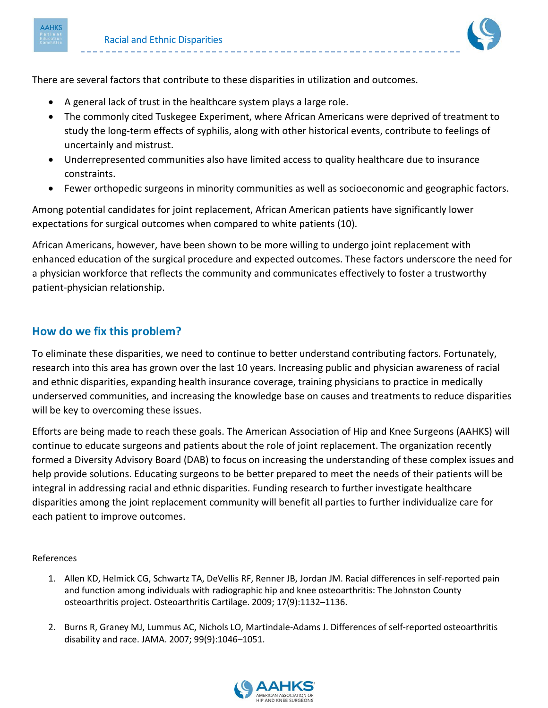



There are several factors that contribute to these disparities in utilization and outcomes.

- A general lack of trust in the healthcare system plays a large role.
- The commonly cited Tuskegee Experiment, where African Americans were deprived of treatment to study the long-term effects of syphilis, along with other historical events, contribute to feelings of uncertainly and mistrust.
- Underrepresented communities also have limited access to quality healthcare due to insurance constraints.
- Fewer orthopedic surgeons in minority communities as well as socioeconomic and geographic factors.

Among potential candidates for joint replacement, African American patients have significantly lower expectations for surgical outcomes when compared to white patients (10).

African Americans, however, have been shown to be more willing to undergo joint replacement with enhanced education of the surgical procedure and expected outcomes. These factors underscore the need for a physician workforce that reflects the community and communicates effectively to foster a trustworthy patient-physician relationship.

## **How do we fix this problem?**

To eliminate these disparities, we need to continue to better understand contributing factors. Fortunately, research into this area has grown over the last 10 years. Increasing public and physician awareness of racial and ethnic disparities, expanding health insurance coverage, training physicians to practice in medically underserved communities, and increasing the knowledge base on causes and treatments to reduce disparities will be key to overcoming these issues.

Efforts are being made to reach these goals. The American Association of Hip and Knee Surgeons (AAHKS) will continue to educate surgeons and patients about the role of joint replacement. The organization recently formed a Diversity Advisory Board (DAB) to focus on increasing the understanding of these complex issues and help provide solutions. Educating surgeons to be better prepared to meet the needs of their patients will be integral in addressing racial and ethnic disparities. Funding research to further investigate healthcare disparities among the joint replacement community will benefit all parties to further individualize care for each patient to improve outcomes.

### References

- 1. Allen KD, Helmick CG, Schwartz TA, DeVellis RF, Renner JB, Jordan JM. Racial differences in self-reported pain and function among individuals with radiographic hip and knee osteoarthritis: The Johnston County osteoarthritis project. Osteoarthritis Cartilage. 2009; 17(9):1132–1136.
- 2. Burns R, Graney MJ, Lummus AC, Nichols LO, Martindale-Adams J. Differences of self-reported osteoarthritis disability and race. JAMA. 2007; 99(9):1046–1051.